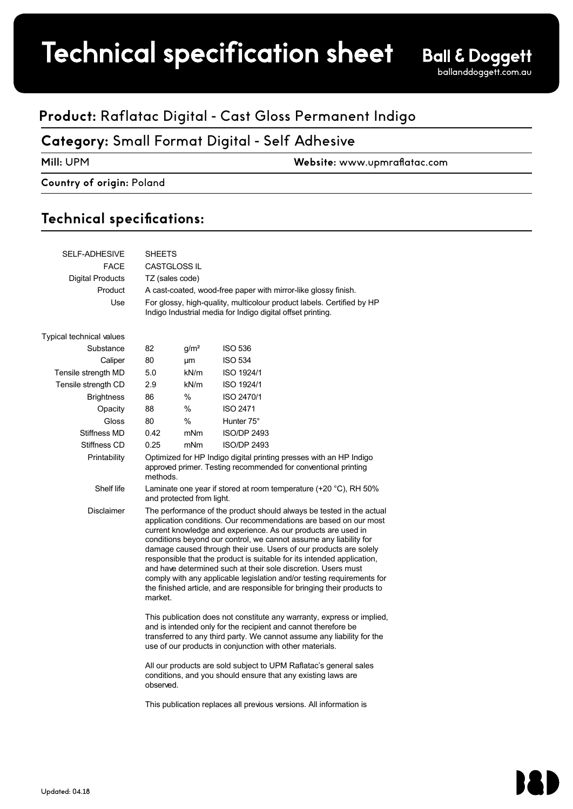# Technical specification sheet

## **Product:** Raflatac Digital - Cast Gloss Permanent Indigo

### **Category:** Small Format Digital - Self Adhesive

**Mill:** UPM **Website:** www.upmraflatac.com 1 (2)

#### **Country of origin:** Poland

### Technical specifications:

| SELF-ADHESIVE            | <b>SHEETS</b>                                                                                                                                                                                                                                                                                                                                                                                                                                                                                                                                                                                                                                                    |                                                                     |                    |  |  |  |
|--------------------------|------------------------------------------------------------------------------------------------------------------------------------------------------------------------------------------------------------------------------------------------------------------------------------------------------------------------------------------------------------------------------------------------------------------------------------------------------------------------------------------------------------------------------------------------------------------------------------------------------------------------------------------------------------------|---------------------------------------------------------------------|--------------------|--|--|--|
| <b>FACE</b>              | <b>CASTGLOSS IL</b>                                                                                                                                                                                                                                                                                                                                                                                                                                                                                                                                                                                                                                              |                                                                     |                    |  |  |  |
| Digital Products         | TZ (sales code)                                                                                                                                                                                                                                                                                                                                                                                                                                                                                                                                                                                                                                                  |                                                                     |                    |  |  |  |
| Product                  | A cast-coated, wood-free paper with mirror-like glossy finish.                                                                                                                                                                                                                                                                                                                                                                                                                                                                                                                                                                                                   |                                                                     |                    |  |  |  |
| Use                      | For glossy, high-quality, multicolour product labels. Certified by HP<br>Indigo Industrial media for Indigo digital offset printing.                                                                                                                                                                                                                                                                                                                                                                                                                                                                                                                             |                                                                     |                    |  |  |  |
| Typical technical values |                                                                                                                                                                                                                                                                                                                                                                                                                                                                                                                                                                                                                                                                  |                                                                     |                    |  |  |  |
| Substance                | 82                                                                                                                                                                                                                                                                                                                                                                                                                                                                                                                                                                                                                                                               | q/m <sup>2</sup>                                                    | <b>ISO 536</b>     |  |  |  |
| Caliper                  | 80                                                                                                                                                                                                                                                                                                                                                                                                                                                                                                                                                                                                                                                               | μm                                                                  | <b>ISO 534</b>     |  |  |  |
| Tensile strength MD      | 5.0                                                                                                                                                                                                                                                                                                                                                                                                                                                                                                                                                                                                                                                              | kN/m                                                                | ISO 1924/1         |  |  |  |
| Tensile strength CD      | 2.9                                                                                                                                                                                                                                                                                                                                                                                                                                                                                                                                                                                                                                                              | kN/m                                                                | <b>ISO 1924/1</b>  |  |  |  |
| <b>Brightness</b>        | 86                                                                                                                                                                                                                                                                                                                                                                                                                                                                                                                                                                                                                                                               | %                                                                   | ISO 2470/1         |  |  |  |
| Opacity                  | 88                                                                                                                                                                                                                                                                                                                                                                                                                                                                                                                                                                                                                                                               | $\%$                                                                | <b>ISO 2471</b>    |  |  |  |
| Gloss                    | 80                                                                                                                                                                                                                                                                                                                                                                                                                                                                                                                                                                                                                                                               | $\%$                                                                | Hunter 75°         |  |  |  |
| Stiffness MD             | 0.42                                                                                                                                                                                                                                                                                                                                                                                                                                                                                                                                                                                                                                                             | mNm                                                                 | <b>ISO/DP 2493</b> |  |  |  |
| Stiffness CD             | 0.25                                                                                                                                                                                                                                                                                                                                                                                                                                                                                                                                                                                                                                                             | mNm                                                                 | <b>ISO/DP 2493</b> |  |  |  |
| Printability             | Optimized for HP Indigo digital printing presses with an HP Indigo<br>approved primer. Testing recommended for conventional printing<br>methods.                                                                                                                                                                                                                                                                                                                                                                                                                                                                                                                 |                                                                     |                    |  |  |  |
| Shelf life               | Laminate one year if stored at room temperature (+20 °C), RH 50%<br>and protected from light.                                                                                                                                                                                                                                                                                                                                                                                                                                                                                                                                                                    |                                                                     |                    |  |  |  |
| <b>Disclaimer</b>        | The performance of the product should always be tested in the actual<br>application conditions. Our recommendations are based on our most<br>current knowledge and experience. As our products are used in<br>conditions beyond our control, we cannot assume any liability for<br>damage caused through their use. Users of our products are solely<br>responsible that the product is suitable for its intended application,<br>and have determined such at their sole discretion. Users must<br>comply with any applicable legislation and/or testing requirements for<br>the finished article, and are responsible for bringing their products to<br>market. |                                                                     |                    |  |  |  |
|                          | This publication does not constitute any warranty, express or implied,<br>and is intended only for the recipient and cannot therefore be<br>transferred to any third party. We cannot assume any liability for the<br>use of our products in conjunction with other materials.<br>All our products are sold subject to UPM Raflatac's general sales<br>conditions, and you should ensure that any existing laws are<br>observed.                                                                                                                                                                                                                                 |                                                                     |                    |  |  |  |
|                          |                                                                                                                                                                                                                                                                                                                                                                                                                                                                                                                                                                                                                                                                  |                                                                     |                    |  |  |  |
|                          |                                                                                                                                                                                                                                                                                                                                                                                                                                                                                                                                                                                                                                                                  | This publication replaces all previous versions. All information is |                    |  |  |  |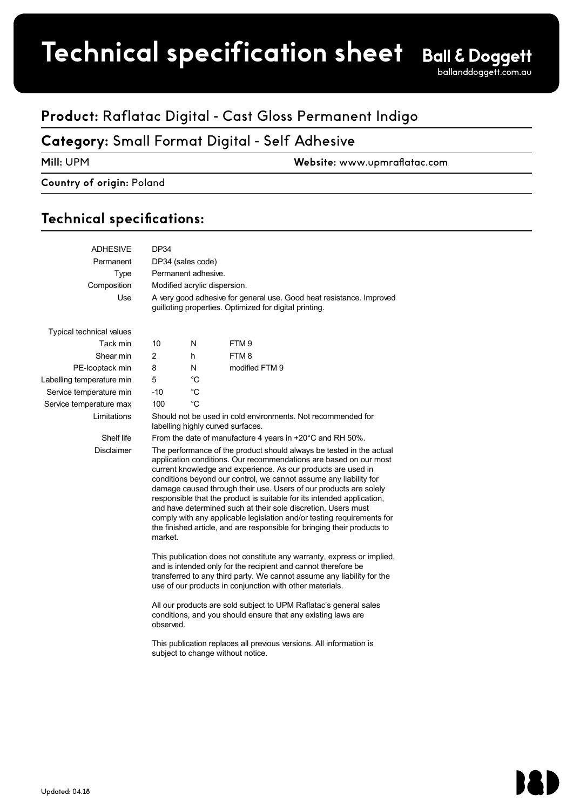# **Technical specification sheet**

## **Product:** Raflatac Digital - Cast Gloss Permanent Indigo

## **Category:** Small Format Digital - Self Adhesive

**Mill:** UPM **Website:** www.upmraflatac.com

#### **Country of origin:** Poland UPM Raflatac Technical Information

### Technical specifications:

| <b>ADHESIVE</b>                 | DP34                                                                                                                                                                                                                                                                                                                                                                                                                                                                                                                                                                                                                                                             |             |                  |  |  |  |
|---------------------------------|------------------------------------------------------------------------------------------------------------------------------------------------------------------------------------------------------------------------------------------------------------------------------------------------------------------------------------------------------------------------------------------------------------------------------------------------------------------------------------------------------------------------------------------------------------------------------------------------------------------------------------------------------------------|-------------|------------------|--|--|--|
| Permanent                       | DP34 (sales code)                                                                                                                                                                                                                                                                                                                                                                                                                                                                                                                                                                                                                                                |             |                  |  |  |  |
| <b>Type</b>                     | Permanent adhesive.                                                                                                                                                                                                                                                                                                                                                                                                                                                                                                                                                                                                                                              |             |                  |  |  |  |
| Composition                     | Modified acrylic dispersion.                                                                                                                                                                                                                                                                                                                                                                                                                                                                                                                                                                                                                                     |             |                  |  |  |  |
| Use                             | A very good adhesive for general use. Good heat resistance. Improved<br>guilloting properties. Optimized for digital printing.                                                                                                                                                                                                                                                                                                                                                                                                                                                                                                                                   |             |                  |  |  |  |
| <b>Typical technical values</b> |                                                                                                                                                                                                                                                                                                                                                                                                                                                                                                                                                                                                                                                                  |             |                  |  |  |  |
| Tack min                        | 10                                                                                                                                                                                                                                                                                                                                                                                                                                                                                                                                                                                                                                                               | N           | FTM <sub>9</sub> |  |  |  |
| Shear min                       | $\overline{2}$                                                                                                                                                                                                                                                                                                                                                                                                                                                                                                                                                                                                                                                   | h           | FTM8             |  |  |  |
| PE-looptack min                 | 8                                                                                                                                                                                                                                                                                                                                                                                                                                                                                                                                                                                                                                                                | N           | modified FTM 9   |  |  |  |
| Labelling temperature min       | 5                                                                                                                                                                                                                                                                                                                                                                                                                                                                                                                                                                                                                                                                | $^{\circ}C$ |                  |  |  |  |
| Service temperature min         | $-10$                                                                                                                                                                                                                                                                                                                                                                                                                                                                                                                                                                                                                                                            | $^{\circ}C$ |                  |  |  |  |
| Service temperature max         | 100                                                                                                                                                                                                                                                                                                                                                                                                                                                                                                                                                                                                                                                              | $^{\circ}C$ |                  |  |  |  |
| Limitations                     | Should not be used in cold environments. Not recommended for<br>labelling highly curved surfaces.                                                                                                                                                                                                                                                                                                                                                                                                                                                                                                                                                                |             |                  |  |  |  |
| Shelf life                      | From the date of manufacture 4 years in +20°C and RH 50%.                                                                                                                                                                                                                                                                                                                                                                                                                                                                                                                                                                                                        |             |                  |  |  |  |
| <b>Disclaimer</b>               | The performance of the product should always be tested in the actual<br>application conditions. Our recommendations are based on our most<br>current knowledge and experience. As our products are used in<br>conditions beyond our control, we cannot assume any liability for<br>damage caused through their use. Users of our products are solely<br>responsible that the product is suitable for its intended application,<br>and have determined such at their sole discretion. Users must<br>comply with any applicable legislation and/or testing requirements for<br>the finished article, and are responsible for bringing their products to<br>market. |             |                  |  |  |  |
|                                 | This publication does not constitute any warranty, express or implied,<br>and is intended only for the recipient and cannot therefore be<br>transferred to any third party. We cannot assume any liability for the<br>use of our products in conjunction with other materials.                                                                                                                                                                                                                                                                                                                                                                                   |             |                  |  |  |  |
|                                 | All our products are sold subject to UPM Raflatac's general sales<br>conditions, and you should ensure that any existing laws are<br>observed.                                                                                                                                                                                                                                                                                                                                                                                                                                                                                                                   |             |                  |  |  |  |
|                                 |                                                                                                                                                                                                                                                                                                                                                                                                                                                                                                                                                                                                                                                                  |             |                  |  |  |  |

This publication replaces all previous versions. All information is subject to change without notice.